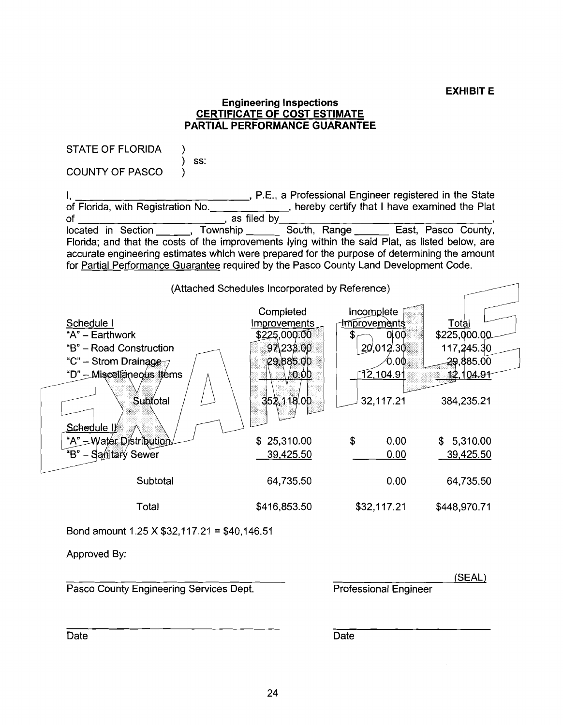#### **Engineering Inspections CERTIFICATE OF COST ESTIMATE PAR'I'IAL PERFORMANCE GUARANTEE**

STATE OF FLORIDA ) ) ss: COUNTY OF PASCO ) 1, , P.E., a Professional Engineer registered in the State of Florida, with Registration No. , hereby certify that I have examined the Plat of , as filed by **<sup>I</sup>** located in Section , Township South, Range East, Pasco County, Florida; and that the costs of the improvements lying within the said Plat, as listed below, are accurate engineering estimates which were prepared for the purpose of determining the amount for Partial Performance Guarantee required by the Pasco County Land Development Code. Solution of the improvements lying within the said Plat, as listed below, are stimates which were prepared for the purpose of determining the amount Guarantee required by the Pasco County Land Development Code.<br>
(Attached Completed <u>Schedule I</u>

|                           | <b>OUTIDIGGU</b> | <b>HILL AND IN A TELL</b> |                  |
|---------------------------|------------------|---------------------------|------------------|
| Schedule I                | Improvements     | Improvements              | <u>Total</u>     |
| "A" - Earthwork           | \$225,000.00     | 0.00                      | \$225,000.00     |
| "B" - Road Construction   | 97\238.00        | 20,012.30                 | 117,245.30       |
| "C" – Strom Drainage      | 29,885.00        | 0.00                      | 29,885.00        |
| "D" - Miscellaneous Items | 0.00             | 12,104.91                 | <u>12,104.91</u> |
|                           |                  |                           |                  |
| Subtotal                  | 352,118.00       | 32,117.21                 | 384,235.21       |
|                           |                  |                           |                  |
| Schedule I                |                  |                           |                  |
| "A" - Water Distribution  | \$25,310.00      | \$<br>0.00                | 5,310.00<br>\$   |
| "B"<br>- Sanitary Sewer   | 39,425.50        | 0.00                      | 39,425.50        |
|                           |                  |                           |                  |
| Subtotal                  | 64,735.50        | 0.00                      | 64,735.50        |
|                           |                  |                           |                  |
| Total                     | \$416,853.50     | \$32,117.21               | \$448,970.71     |
|                           |                  |                           |                  |

Bond amount 1.25 X \$32,117.21 = \$40,146.51

Approved By:

Pasco County Engineering Services Dept. Professional Engineer

(SEAL)

Date **Date Date Date Date Date**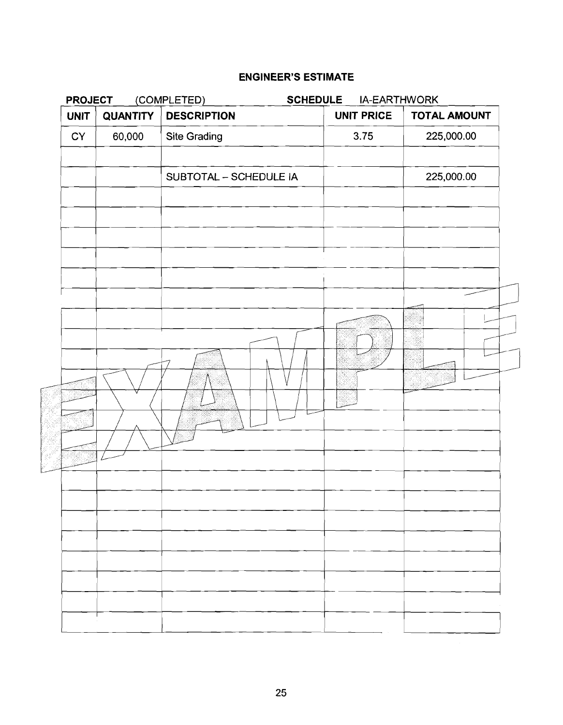| <b>UNIT</b> |                 |                        | (COMPLETED)<br><b>SCHEDULE</b><br>IA-EARTHWORK |                     |  |
|-------------|-----------------|------------------------|------------------------------------------------|---------------------|--|
|             | <b>QUANTITY</b> | <b>DESCRIPTION</b>     | <b>UNIT PRICE</b>                              | <b>TOTAL AMOUNT</b> |  |
| CY          | 60,000          | Site Grading           | 3.75                                           | 225,000.00          |  |
|             |                 | SUBTOTAL - SCHEDULE IA |                                                | 225,000.00          |  |
|             |                 |                        |                                                |                     |  |
|             |                 |                        |                                                |                     |  |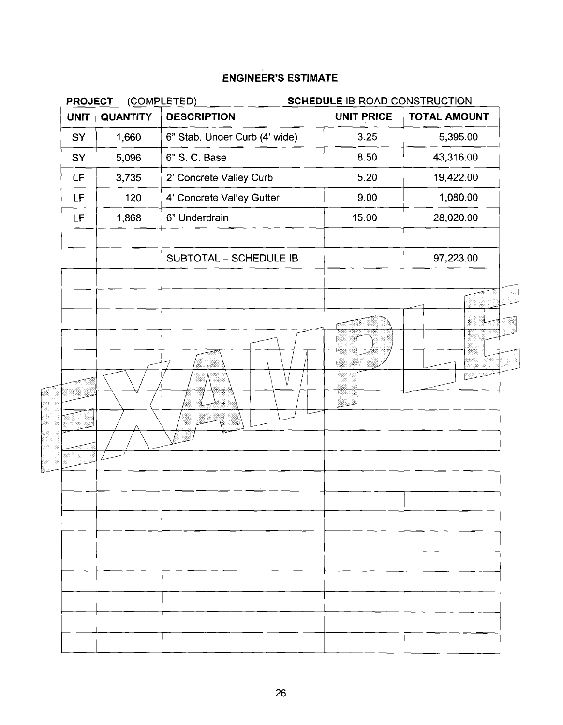|             | (COMPLETED)<br><b>PROJECT</b><br>SCHEDULE IB-ROAD CONSTRUCTION |                               |                   |              |
|-------------|----------------------------------------------------------------|-------------------------------|-------------------|--------------|
| <b>UNIT</b> | <b>QUANTITY</b>                                                | <b>DESCRIPTION</b>            | <b>UNIT PRICE</b> | TOTAL AMOUNT |
| SY          | 1,660                                                          | 6" Stab. Under Curb (4' wide) | 3.25              | 5,395.00     |
| SY          | 5,096                                                          | 6" S. C. Base                 | 8.50              | 43,316.00    |
| LF          | 3,735                                                          | 2' Concrete Valley Curb       | 5.20              | 19,422.00    |
| LF.         | 120                                                            | 4' Concrete Valley Gutter     | 9.00              | 1,080.00     |
| LF          | 1,868                                                          | 6" Underdrain                 | 15.00             | 28,020.00    |
|             |                                                                | SUBTOTAL - SCHEDULE IB        |                   | 97,223.00    |
|             |                                                                |                               |                   |              |
|             |                                                                |                               |                   |              |
|             |                                                                |                               |                   |              |
|             |                                                                |                               |                   |              |
|             |                                                                |                               |                   |              |
|             |                                                                |                               |                   |              |
|             |                                                                |                               |                   |              |
|             |                                                                |                               |                   |              |
|             |                                                                |                               |                   |              |
|             |                                                                |                               |                   |              |
|             |                                                                |                               |                   |              |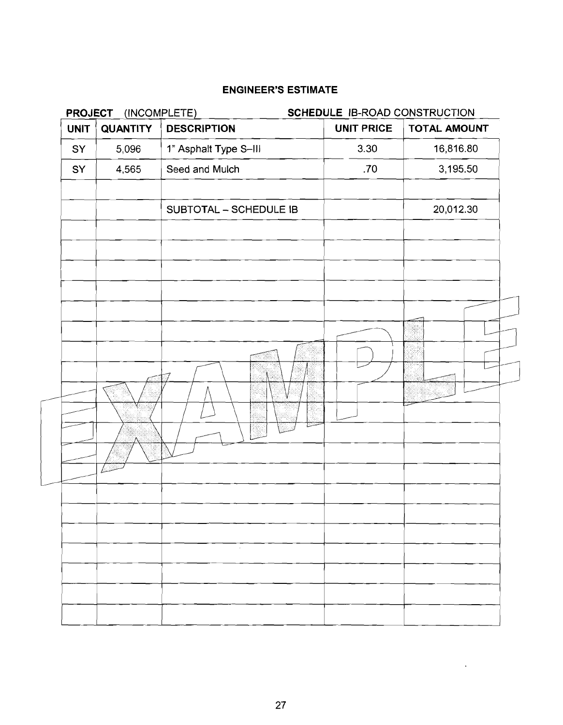| <b>DESCRIPTION</b><br><b>QUANTITY</b><br><b>UNIT</b> | <b>UNIT PRICE</b> | <b>TOTAL AMOUNT</b> |
|------------------------------------------------------|-------------------|---------------------|
| 5,096<br>1" Asphalt Type S-III                       | 3.30              | 16,816.80           |
| Seed and Mulch<br>4,565                              | .70               | 3,195.50            |
| SUBTOTAL - SCHEDULE IB                               |                   | 20,012.30           |
| ننشأ                                                 | ~~~~              |                     |

 $\sim 10^7$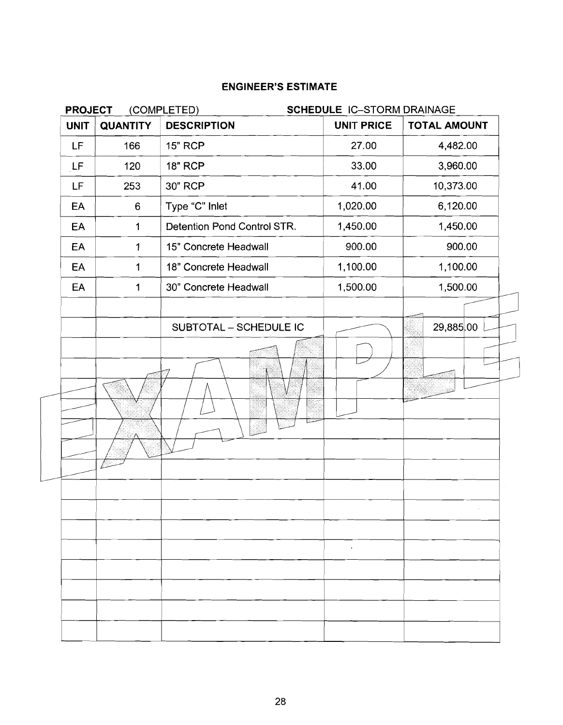| <b>PROJECT</b> |                  | (COMPLETED)                 | SCHEDULE IC-STORM DRAINAGE |              |  |
|----------------|------------------|-----------------------------|----------------------------|--------------|--|
| <b>UNIT</b>    | <b>QUANTITY</b>  | <b>DESCRIPTION</b>          | <b>UNIT PRICE</b>          | TOTAL AMOUNT |  |
| LF             | 166              | <b>15" RCP</b>              | 27.00                      | 4,482.00     |  |
| LF             | 120              | <b>18" RCP</b>              | 33.00                      | 3,960.00     |  |
| LF.            | 253              | 30" RCP                     | 41.00                      | 10,373.00    |  |
| EA             | $\boldsymbol{6}$ | Type "C" Inlet              | 1,020.00                   | 6,120.00     |  |
| EA             | $\mathbf{1}$     | Detention Pond Control STR. | 1,450.00                   | 1,450.00     |  |
| EA             | $\mathbf 1$      | 15" Concrete Headwall       | 900.00                     | 900.00       |  |
| EA             | $\mathbf 1$      | 18" Concrete Headwall       | 1,100.00                   | 1,100.00     |  |
| EA             | $\mathbf 1$      | 30" Concrete Headwall       | 1,500.00                   | 1,500.00     |  |
|                |                  | SUBTOTAL - SCHEDULE IC      |                            | 29,885.00    |  |
|                |                  |                             |                            |              |  |
|                |                  |                             |                            |              |  |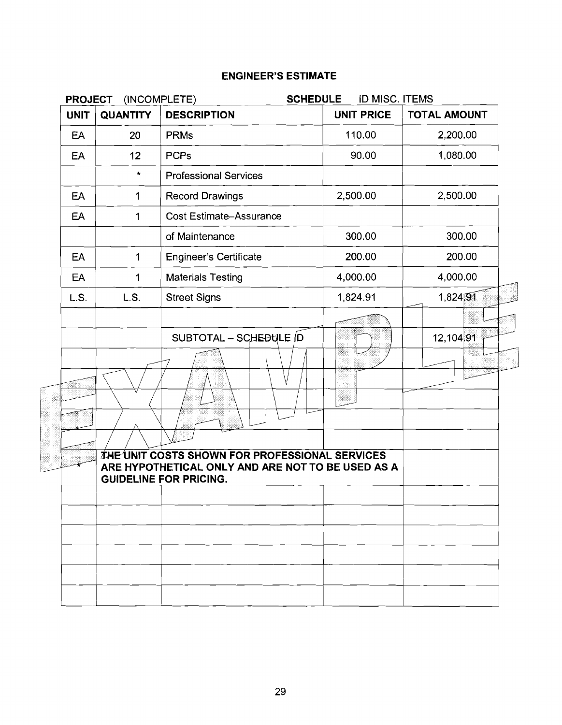| <b>PROJECT</b> | (INCOMPLETE)    | <b>SCHEDULE</b>                                                                                                                      | <b>ID MISC. ITEMS</b> |                     |
|----------------|-----------------|--------------------------------------------------------------------------------------------------------------------------------------|-----------------------|---------------------|
| <b>UNIT</b>    | <b>QUANTITY</b> | <b>DESCRIPTION</b>                                                                                                                   | <b>UNIT PRICE</b>     | <b>TOTAL AMOUNT</b> |
| EA             | 20              | <b>PRMs</b>                                                                                                                          | 110.00                | 2,200.00            |
| EA             | 12              | <b>PCPs</b>                                                                                                                          | 90.00                 | 1,080.00            |
|                | $\star$         | <b>Professional Services</b>                                                                                                         |                       |                     |
| EA             | 1               | <b>Record Drawings</b>                                                                                                               | 2,500.00              | 2,500.00            |
| EA             | 1               | <b>Cost Estimate-Assurance</b>                                                                                                       |                       |                     |
|                |                 | of Maintenance                                                                                                                       | 300.00                | 300.00              |
| EA             | $\mathbf 1$     | <b>Engineer's Certificate</b>                                                                                                        | 200.00                | 200.00              |
| EA             | 1               | <b>Materials Testing</b>                                                                                                             | 4,000.00              | 4,000.00            |
| L.S.           | L.S.            | <b>Street Signs</b>                                                                                                                  | 1,824.91              | 1,824,91            |
|                |                 |                                                                                                                                      |                       |                     |
|                |                 | SUBTOTAL - SCHEDULE D                                                                                                                |                       | 12,104.91           |
|                |                 |                                                                                                                                      |                       |                     |
|                |                 |                                                                                                                                      |                       |                     |
|                |                 |                                                                                                                                      |                       |                     |
|                |                 |                                                                                                                                      |                       |                     |
|                |                 |                                                                                                                                      |                       |                     |
|                |                 | THE UNIT COSTS SHOWN FOR PROFESSIONAL SERVICES<br>ARE HYPOTHETICAL ONLY AND ARE NOT TO BE USED AS A<br><b>GUIDELINE FOR PRICING.</b> |                       |                     |
|                |                 |                                                                                                                                      |                       |                     |
|                |                 |                                                                                                                                      |                       |                     |
|                |                 |                                                                                                                                      |                       |                     |
|                |                 |                                                                                                                                      |                       |                     |
|                |                 |                                                                                                                                      |                       |                     |
|                |                 |                                                                                                                                      |                       |                     |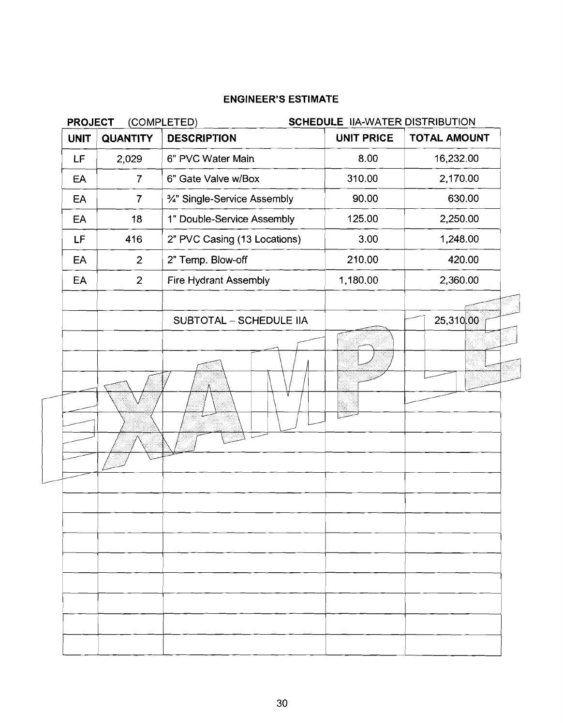| <b>UNIT</b> | <b>QUANTITY</b> | <b>DESCRIPTION</b>             | <b>UNIT PRICE</b> | <b>TOTAL AMOUNT</b> |
|-------------|-----------------|--------------------------------|-------------------|---------------------|
| LF          | 2,029           | 6" PVC Water Main              | 8.00              | 16,232.00           |
| EA          | $\overline{7}$  | 6" Gate Valve w/Box            | 310.00            | 2,170.00            |
| EA          | $\overline{7}$  | 3/4" Single-Service Assembly   | 90.00             | 630.00              |
| EA          | 18              | 1" Double-Service Assembly     | 125.00            | 2,250.00            |
| LF          | 416             | 2" PVC Casing (13 Locations)   | 3.00              | 1,248.00            |
| EA          | $\overline{2}$  | 2" Temp. Blow-off              | 210.00            | 420.00              |
| EA          | $\overline{2}$  | Fire Hydrant Assembly          | 1,180.00          | 2,360.00            |
|             |                 | <b>SUBTOTAL - SCHEDULE IIA</b> |                   | 25,310,00           |
|             |                 |                                |                   |                     |
|             |                 |                                |                   |                     |